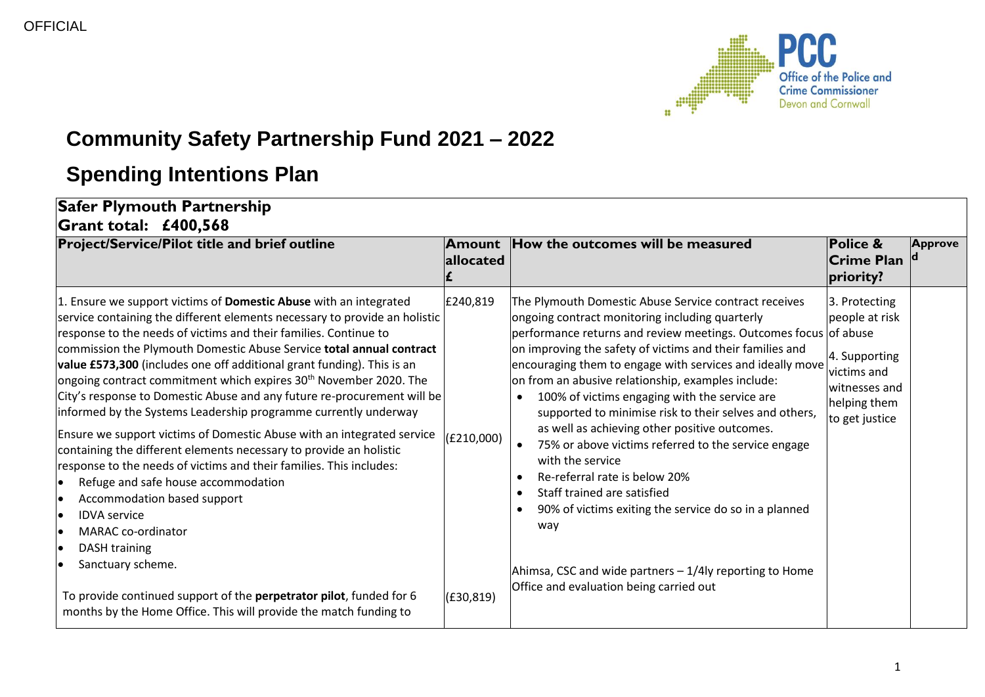

## **Community Safety Partnership Fund 2021 – 2022**

## **Spending Intentions Plan**

## **Safer Plymouth Partnership Grant total: £400,568**

| <b>Project/Service/Pilot title and brief outline</b>                                                                                                                                                                                                                                                                                                                                                                                                                                                                                                                                                                                                                                                                                                                                                                                                                                                                                                                                                                                                                                                                                                                                | <b>Amount</b><br>allocated           | How the outcomes will be measured                                                                                                                                                                                                                                                                                                                                                                                                                                                                                                                                                                                                                                                                                                                                                                                                                                     | <b>Police &amp;</b><br><b>Crime Plan</b><br>priority?                                                              | <b>Approve</b> |
|-------------------------------------------------------------------------------------------------------------------------------------------------------------------------------------------------------------------------------------------------------------------------------------------------------------------------------------------------------------------------------------------------------------------------------------------------------------------------------------------------------------------------------------------------------------------------------------------------------------------------------------------------------------------------------------------------------------------------------------------------------------------------------------------------------------------------------------------------------------------------------------------------------------------------------------------------------------------------------------------------------------------------------------------------------------------------------------------------------------------------------------------------------------------------------------|--------------------------------------|-----------------------------------------------------------------------------------------------------------------------------------------------------------------------------------------------------------------------------------------------------------------------------------------------------------------------------------------------------------------------------------------------------------------------------------------------------------------------------------------------------------------------------------------------------------------------------------------------------------------------------------------------------------------------------------------------------------------------------------------------------------------------------------------------------------------------------------------------------------------------|--------------------------------------------------------------------------------------------------------------------|----------------|
| 1. Ensure we support victims of Domestic Abuse with an integrated<br>service containing the different elements necessary to provide an holistic<br>response to the needs of victims and their families. Continue to<br>commission the Plymouth Domestic Abuse Service total annual contract<br>value £573,300 (includes one off additional grant funding). This is an<br>ongoing contract commitment which expires 30 <sup>th</sup> November 2020. The<br>City's response to Domestic Abuse and any future re-procurement will be<br>informed by the Systems Leadership programme currently underway<br>Ensure we support victims of Domestic Abuse with an integrated service<br>containing the different elements necessary to provide an holistic<br>response to the needs of victims and their families. This includes:<br>Refuge and safe house accommodation<br>$\bullet$<br>Accommodation based support<br>lo<br><b>IDVA</b> service<br>lo<br><b>MARAC</b> co-ordinator<br>lo<br><b>DASH training</b><br>lo<br>Sanctuary scheme.<br>To provide continued support of the perpetrator pilot, funded for 6<br>months by the Home Office. This will provide the match funding to | £240,819<br>(E210,000)<br>(E30, 819) | The Plymouth Domestic Abuse Service contract receives<br>ongoing contract monitoring including quarterly<br>performance returns and review meetings. Outcomes focus of abuse<br>on improving the safety of victims and their families and<br>encouraging them to engage with services and ideally move<br>on from an abusive relationship, examples include:<br>100% of victims engaging with the service are<br>$\bullet$<br>supported to minimise risk to their selves and others,<br>as well as achieving other positive outcomes.<br>75% or above victims referred to the service engage<br>with the service<br>Re-referral rate is below 20%<br>Staff trained are satisfied<br>90% of victims exiting the service do so in a planned<br>$\bullet$<br>way<br>Ahimsa, CSC and wide partners $-1/4$ ly reporting to Home<br>Office and evaluation being carried out | 3. Protecting<br>people at risk<br>4. Supporting<br>victims and<br>witnesses and<br>helping them<br>to get justice |                |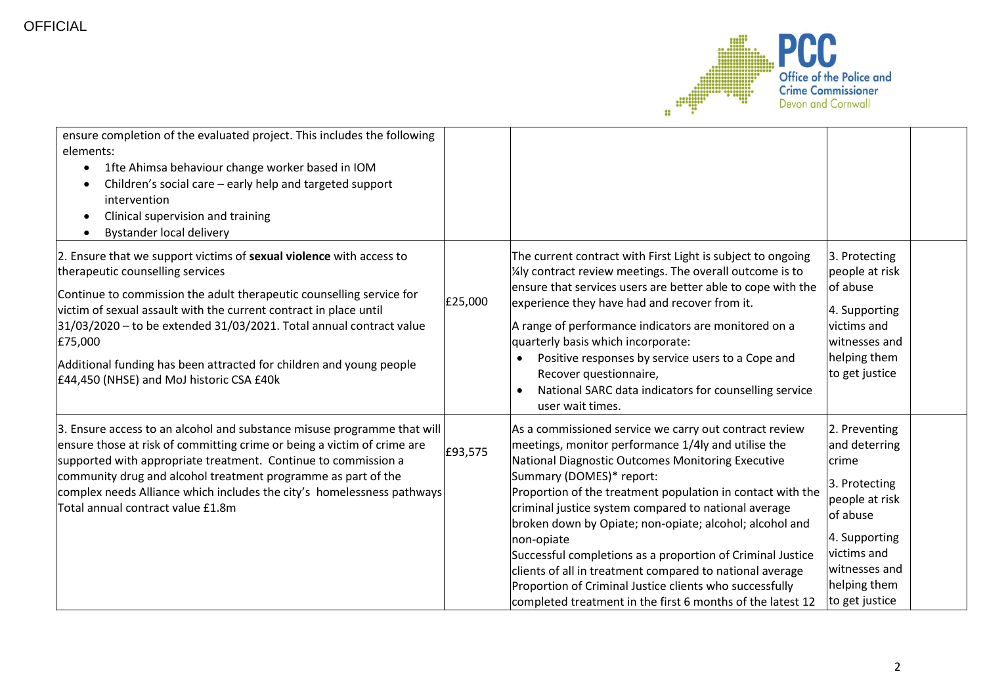

| ensure completion of the evaluated project. This includes the following<br>elements:<br>1fte Ahimsa behaviour change worker based in IOM<br>$\bullet$<br>Children's social care - early help and targeted support<br>intervention<br>Clinical supervision and training<br>$\bullet$<br><b>Bystander local delivery</b><br>$\bullet$                                                                                                                       |         |                                                                                                                                                                                                                                                                                                                                                                                                                                                                                                                                                                                                                                                  |                                                                                                                                                                           |  |
|-----------------------------------------------------------------------------------------------------------------------------------------------------------------------------------------------------------------------------------------------------------------------------------------------------------------------------------------------------------------------------------------------------------------------------------------------------------|---------|--------------------------------------------------------------------------------------------------------------------------------------------------------------------------------------------------------------------------------------------------------------------------------------------------------------------------------------------------------------------------------------------------------------------------------------------------------------------------------------------------------------------------------------------------------------------------------------------------------------------------------------------------|---------------------------------------------------------------------------------------------------------------------------------------------------------------------------|--|
| 2. Ensure that we support victims of sexual violence with access to<br>therapeutic counselling services<br>Continue to commission the adult therapeutic counselling service for<br>victim of sexual assault with the current contract in place until<br>31/03/2020 - to be extended 31/03/2021. Total annual contract value<br>£75,000<br>Additional funding has been attracted for children and young people<br>£44,450 (NHSE) and MoJ historic CSA £40k | £25,000 | The current contract with First Light is subject to ongoing<br>1/4ly contract review meetings. The overall outcome is to<br>ensure that services users are better able to cope with the<br>experience they have had and recover from it.<br>A range of performance indicators are monitored on a<br>quarterly basis which incorporate:<br>Positive responses by service users to a Cope and<br>Recover questionnaire,<br>National SARC data indicators for counselling service<br>user wait times.                                                                                                                                               | 3. Protecting<br>people at risk<br>of abuse<br>4. Supporting<br>victims and<br>witnesses and<br>helping them<br>to get justice                                            |  |
| 3. Ensure access to an alcohol and substance misuse programme that will<br>ensure those at risk of committing crime or being a victim of crime are<br>supported with appropriate treatment. Continue to commission a<br>community drug and alcohol treatment programme as part of the<br>complex needs Alliance which includes the city's homelessness pathways<br>Total annual contract value £1.8m                                                      | £93,575 | As a commissioned service we carry out contract review<br>meetings, monitor performance 1/4ly and utilise the<br>National Diagnostic Outcomes Monitoring Executive<br>Summary (DOMES)* report:<br>Proportion of the treatment population in contact with the<br>criminal justice system compared to national average<br>broken down by Opiate; non-opiate; alcohol; alcohol and<br>non-opiate<br>Successful completions as a proportion of Criminal Justice<br>clients of all in treatment compared to national average<br>Proportion of Criminal Justice clients who successfully<br>completed treatment in the first 6 months of the latest 12 | 2. Preventing<br>and deterring<br>crime<br>3. Protecting<br>people at risk<br>of abuse<br>4. Supporting<br>victims and<br>witnesses and<br>helping them<br>to get justice |  |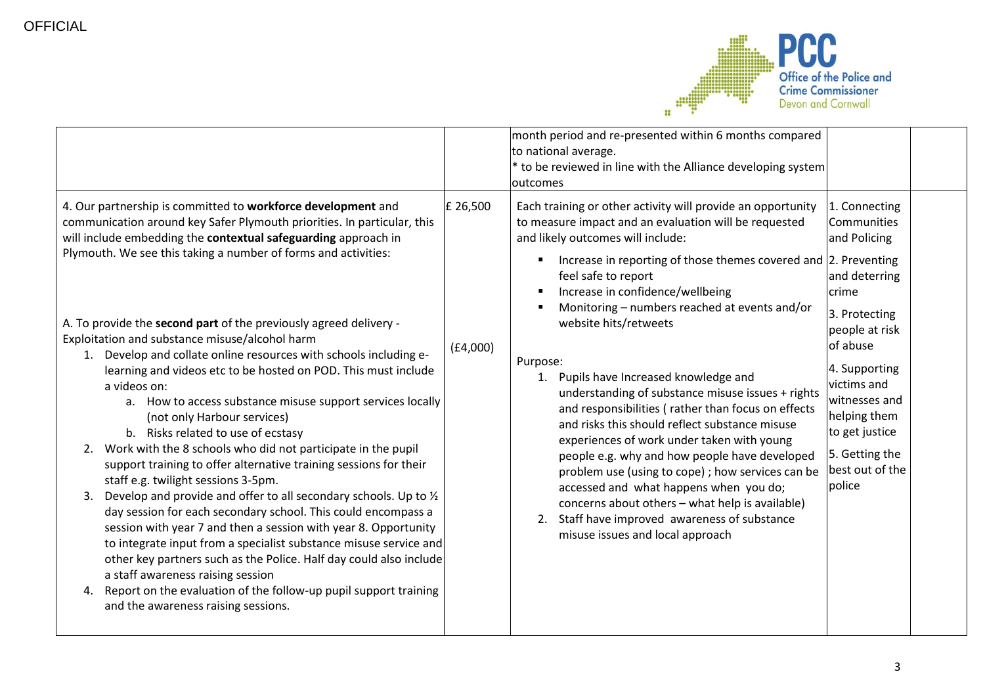

|                                                                                                                                                                                                                                                                                                                                                                                                                                                                                                                                                                                                                                                                                                                                                                                                                                                                                                                                                                                                                                                                                                                  |          | month period and re-presented within 6 months compared<br>to national average.<br>* to be reviewed in line with the Alliance developing system<br>loutcomes                                                                                                                                                                                                                                                                                                                                                                                                                    |                                                                                                                                                                               |  |
|------------------------------------------------------------------------------------------------------------------------------------------------------------------------------------------------------------------------------------------------------------------------------------------------------------------------------------------------------------------------------------------------------------------------------------------------------------------------------------------------------------------------------------------------------------------------------------------------------------------------------------------------------------------------------------------------------------------------------------------------------------------------------------------------------------------------------------------------------------------------------------------------------------------------------------------------------------------------------------------------------------------------------------------------------------------------------------------------------------------|----------|--------------------------------------------------------------------------------------------------------------------------------------------------------------------------------------------------------------------------------------------------------------------------------------------------------------------------------------------------------------------------------------------------------------------------------------------------------------------------------------------------------------------------------------------------------------------------------|-------------------------------------------------------------------------------------------------------------------------------------------------------------------------------|--|
| 4. Our partnership is committed to workforce development and<br>communication around key Safer Plymouth priorities. In particular, this<br>will include embedding the contextual safeguarding approach in<br>Plymouth. We see this taking a number of forms and activities:                                                                                                                                                                                                                                                                                                                                                                                                                                                                                                                                                                                                                                                                                                                                                                                                                                      | £ 26,500 | Each training or other activity will provide an opportunity<br>to measure impact and an evaluation will be requested<br>and likely outcomes will include:<br>Increase in reporting of those themes covered and 2. Preventing<br>feel safe to report<br>Increase in confidence/wellbeing<br>Monitoring - numbers reached at events and/or                                                                                                                                                                                                                                       | 1. Connecting<br>Communities<br>and Policing<br>and deterring<br>crime                                                                                                        |  |
| A. To provide the second part of the previously agreed delivery -<br>Exploitation and substance misuse/alcohol harm<br>1. Develop and collate online resources with schools including e-<br>learning and videos etc to be hosted on POD. This must include<br>a videos on:<br>a. How to access substance misuse support services locally<br>(not only Harbour services)<br>b. Risks related to use of ecstasy<br>2. Work with the 8 schools who did not participate in the pupil<br>support training to offer alternative training sessions for their<br>staff e.g. twilight sessions 3-5pm.<br>3. Develop and provide and offer to all secondary schools. Up to $\frac{1}{2}$<br>day session for each secondary school. This could encompass a<br>session with year 7 and then a session with year 8. Opportunity<br>to integrate input from a specialist substance misuse service and<br>other key partners such as the Police. Half day could also include<br>a staff awareness raising session<br>4. Report on the evaluation of the follow-up pupil support training<br>and the awareness raising sessions. | (E4,000) | website hits/retweets<br>Purpose:<br>1. Pupils have Increased knowledge and<br>understanding of substance misuse issues + rights<br>and responsibilities (rather than focus on effects<br>and risks this should reflect substance misuse<br>experiences of work under taken with young<br>people e.g. why and how people have developed<br>problem use (using to cope) ; how services can be<br>accessed and what happens when you do;<br>concerns about others - what help is available)<br>2. Staff have improved awareness of substance<br>misuse issues and local approach | 3. Protecting<br>people at risk<br>of abuse<br>4. Supporting<br>victims and<br>witnesses and<br>helping them<br>to get justice<br>5. Getting the<br>best out of the<br>police |  |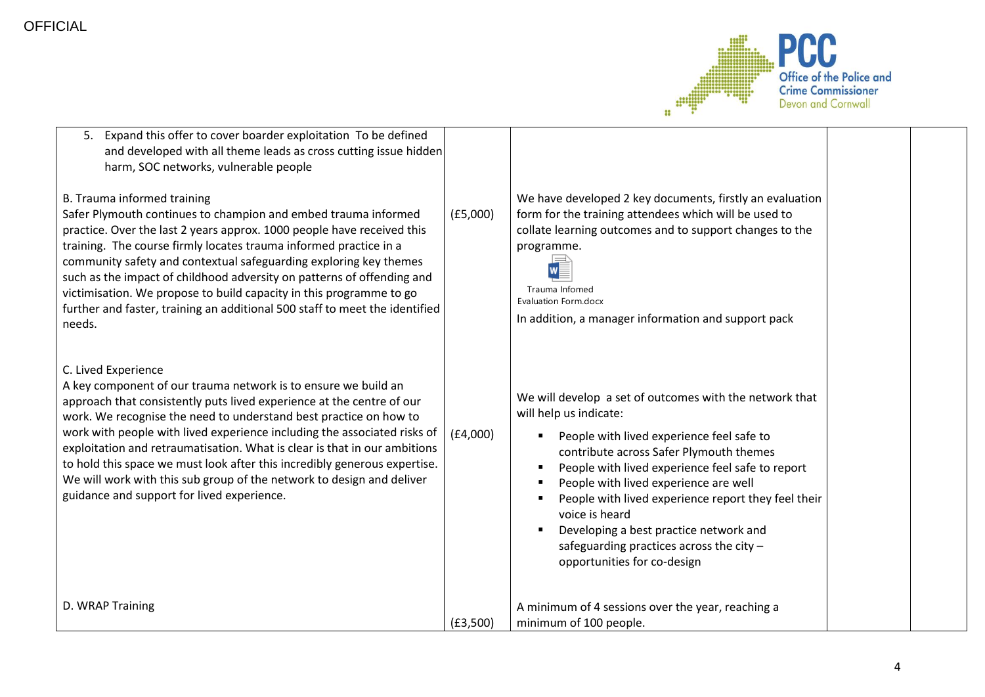

| 5. Expand this offer to cover boarder exploitation To be defined<br>and developed with all theme leads as cross cutting issue hidden<br>harm, SOC networks, vulnerable people                                                                                                                                                                                                                                                                                                                                                                                                                    |          |                                                                                                                                                                                                                                                                                                                                                                                                                                                                      |  |
|--------------------------------------------------------------------------------------------------------------------------------------------------------------------------------------------------------------------------------------------------------------------------------------------------------------------------------------------------------------------------------------------------------------------------------------------------------------------------------------------------------------------------------------------------------------------------------------------------|----------|----------------------------------------------------------------------------------------------------------------------------------------------------------------------------------------------------------------------------------------------------------------------------------------------------------------------------------------------------------------------------------------------------------------------------------------------------------------------|--|
| B. Trauma informed training<br>Safer Plymouth continues to champion and embed trauma informed<br>practice. Over the last 2 years approx. 1000 people have received this<br>training. The course firmly locates trauma informed practice in a<br>community safety and contextual safeguarding exploring key themes<br>such as the impact of childhood adversity on patterns of offending and<br>victimisation. We propose to build capacity in this programme to go<br>further and faster, training an additional 500 staff to meet the identified<br>needs.                                      | (E5,000) | We have developed 2 key documents, firstly an evaluation<br>form for the training attendees which will be used to<br>collate learning outcomes and to support changes to the<br>programme.<br>Trauma Infomed<br>Evaluation Form.docx<br>In addition, a manager information and support pack                                                                                                                                                                          |  |
| C. Lived Experience<br>A key component of our trauma network is to ensure we build an<br>approach that consistently puts lived experience at the centre of our<br>work. We recognise the need to understand best practice on how to<br>work with people with lived experience including the associated risks of<br>exploitation and retraumatisation. What is clear is that in our ambitions<br>to hold this space we must look after this incredibly generous expertise.<br>We will work with this sub group of the network to design and deliver<br>guidance and support for lived experience. | (E4,000) | We will develop a set of outcomes with the network that<br>will help us indicate:<br>People with lived experience feel safe to<br>contribute across Safer Plymouth themes<br>People with lived experience feel safe to report<br>People with lived experience are well<br>People with lived experience report they feel their<br>voice is heard<br>Developing a best practice network and<br>safeguarding practices across the city -<br>opportunities for co-design |  |
| D. WRAP Training                                                                                                                                                                                                                                                                                                                                                                                                                                                                                                                                                                                 | (E3,500) | A minimum of 4 sessions over the year, reaching a<br>minimum of 100 people.                                                                                                                                                                                                                                                                                                                                                                                          |  |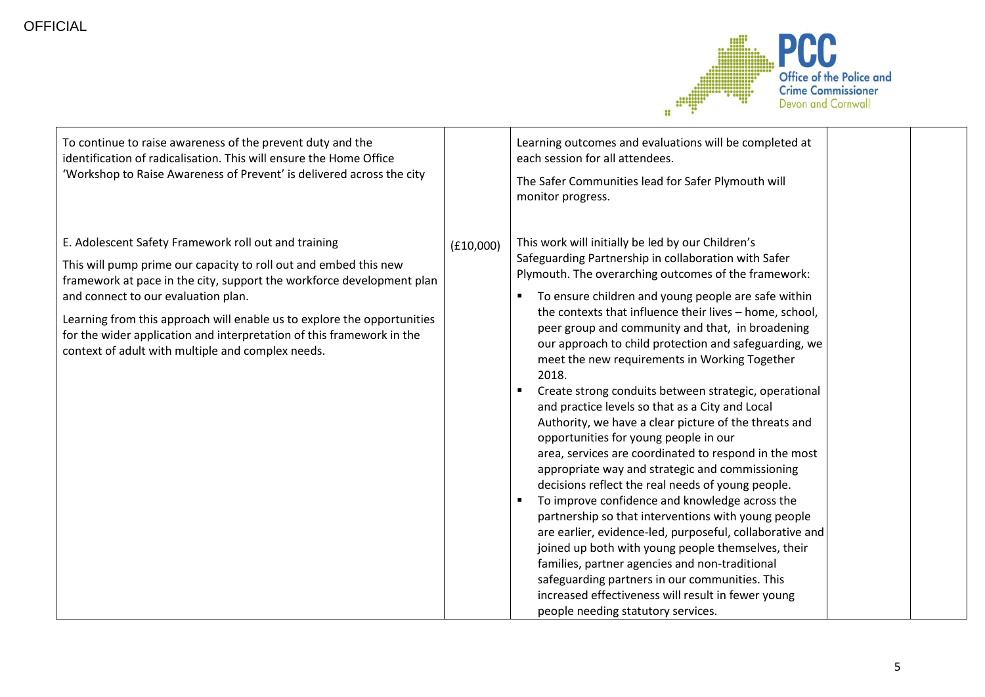

| To continue to raise awareness of the prevent duty and the<br>identification of radicalisation. This will ensure the Home Office<br>'Workshop to Raise Awareness of Prevent' is delivered across the city                                                                                                                                                                                                                                         |           | Learning outcomes and evaluations will be completed at<br>each session for all attendees.<br>The Safer Communities lead for Safer Plymouth will<br>monitor progress.                                                                                                                                                                                                                                                                                                                                                                                                                                                                                                                                                                                                                                                                                                                                                                                                                                                                                                                                                                                                                                                                                                 |
|---------------------------------------------------------------------------------------------------------------------------------------------------------------------------------------------------------------------------------------------------------------------------------------------------------------------------------------------------------------------------------------------------------------------------------------------------|-----------|----------------------------------------------------------------------------------------------------------------------------------------------------------------------------------------------------------------------------------------------------------------------------------------------------------------------------------------------------------------------------------------------------------------------------------------------------------------------------------------------------------------------------------------------------------------------------------------------------------------------------------------------------------------------------------------------------------------------------------------------------------------------------------------------------------------------------------------------------------------------------------------------------------------------------------------------------------------------------------------------------------------------------------------------------------------------------------------------------------------------------------------------------------------------------------------------------------------------------------------------------------------------|
| E. Adolescent Safety Framework roll out and training<br>This will pump prime our capacity to roll out and embed this new<br>framework at pace in the city, support the workforce development plan<br>and connect to our evaluation plan.<br>Learning from this approach will enable us to explore the opportunities<br>for the wider application and interpretation of this framework in the<br>context of adult with multiple and complex needs. | (E10,000) | This work will initially be led by our Children's<br>Safeguarding Partnership in collaboration with Safer<br>Plymouth. The overarching outcomes of the framework:<br>To ensure children and young people are safe within<br>the contexts that influence their lives - home, school,<br>peer group and community and that, in broadening<br>our approach to child protection and safeguarding, we<br>meet the new requirements in Working Together<br>2018.<br>Create strong conduits between strategic, operational<br>and practice levels so that as a City and Local<br>Authority, we have a clear picture of the threats and<br>opportunities for young people in our<br>area, services are coordinated to respond in the most<br>appropriate way and strategic and commissioning<br>decisions reflect the real needs of young people.<br>To improve confidence and knowledge across the<br>partnership so that interventions with young people<br>are earlier, evidence-led, purposeful, collaborative and<br>joined up both with young people themselves, their<br>families, partner agencies and non-traditional<br>safeguarding partners in our communities. This<br>increased effectiveness will result in fewer young<br>people needing statutory services. |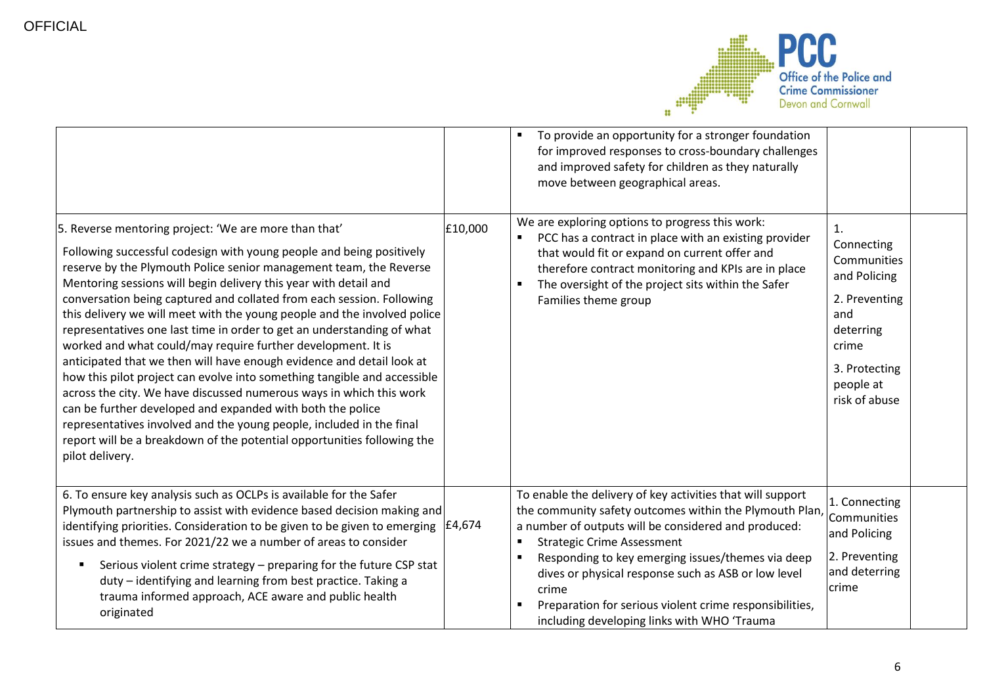

| 5. Reverse mentoring project: 'We are more than that'<br>Following successful codesign with young people and being positively<br>reserve by the Plymouth Police senior management team, the Reverse<br>Mentoring sessions will begin delivery this year with detail and<br>conversation being captured and collated from each session. Following<br>this delivery we will meet with the young people and the involved police<br>representatives one last time in order to get an understanding of what<br>worked and what could/may require further development. It is<br>anticipated that we then will have enough evidence and detail look at<br>how this pilot project can evolve into something tangible and accessible<br>across the city. We have discussed numerous ways in which this work<br>can be further developed and expanded with both the police<br>representatives involved and the young people, included in the final<br>report will be a breakdown of the potential opportunities following the | £10,000 | To provide an opportunity for a stronger foundation<br>for improved responses to cross-boundary challenges<br>and improved safety for children as they naturally<br>move between geographical areas.<br>We are exploring options to progress this work:<br>PCC has a contract in place with an existing provider<br>that would fit or expand on current offer and<br>therefore contract monitoring and KPIs are in place<br>The oversight of the project sits within the Safer<br>Families theme group | 1.<br>Connecting<br>Communities<br>and Policing<br>2. Preventing<br>and<br>deterring<br>crime<br>3. Protecting<br>people at<br>risk of abuse |  |
|---------------------------------------------------------------------------------------------------------------------------------------------------------------------------------------------------------------------------------------------------------------------------------------------------------------------------------------------------------------------------------------------------------------------------------------------------------------------------------------------------------------------------------------------------------------------------------------------------------------------------------------------------------------------------------------------------------------------------------------------------------------------------------------------------------------------------------------------------------------------------------------------------------------------------------------------------------------------------------------------------------------------|---------|--------------------------------------------------------------------------------------------------------------------------------------------------------------------------------------------------------------------------------------------------------------------------------------------------------------------------------------------------------------------------------------------------------------------------------------------------------------------------------------------------------|----------------------------------------------------------------------------------------------------------------------------------------------|--|
| pilot delivery.<br>6. To ensure key analysis such as OCLPs is available for the Safer                                                                                                                                                                                                                                                                                                                                                                                                                                                                                                                                                                                                                                                                                                                                                                                                                                                                                                                               |         | To enable the delivery of key activities that will support                                                                                                                                                                                                                                                                                                                                                                                                                                             | 1. Connecting                                                                                                                                |  |
| Plymouth partnership to assist with evidence based decision making and<br>identifying priorities. Consideration to be given to be given to emerging<br>issues and themes. For 2021/22 we a number of areas to consider<br>Serious violent crime strategy - preparing for the future CSP stat<br>duty - identifying and learning from best practice. Taking a<br>trauma informed approach, ACE aware and public health<br>originated                                                                                                                                                                                                                                                                                                                                                                                                                                                                                                                                                                                 | £4,674  | the community safety outcomes within the Plymouth Plan,<br>a number of outputs will be considered and produced:<br><b>Strategic Crime Assessment</b><br>Responding to key emerging issues/themes via deep<br>dives or physical response such as ASB or low level<br>crime<br>Preparation for serious violent crime responsibilities,<br>including developing links with WHO 'Trauma                                                                                                                    | Communities<br>and Policing<br>2. Preventing<br>and deterring<br>crime                                                                       |  |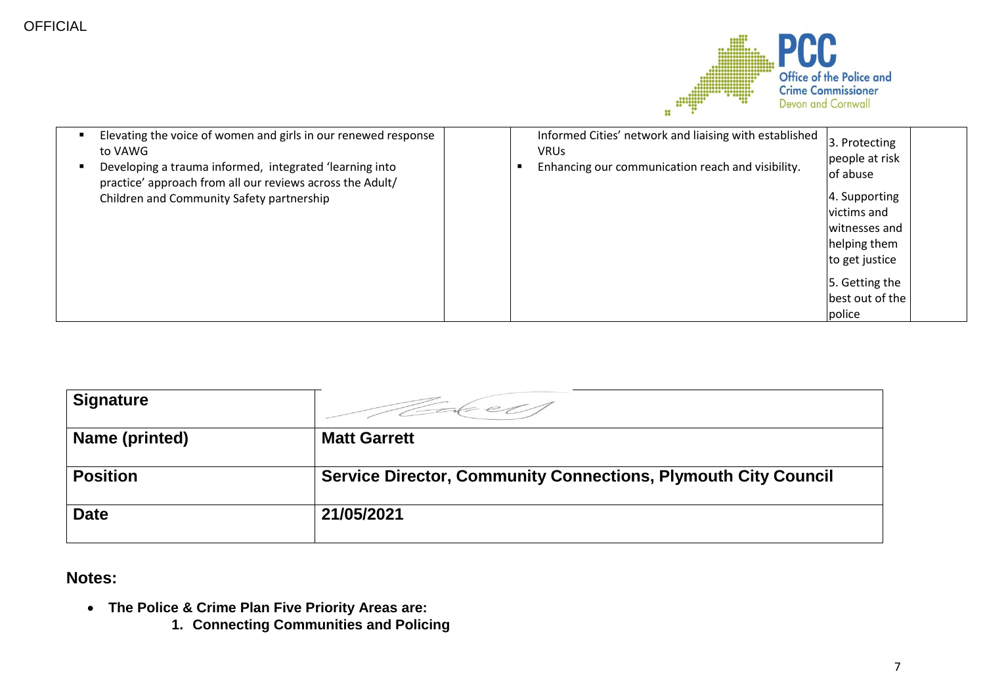

| Elevating the voice of women and girls in our renewed response<br>$\blacksquare$<br>to VAWG<br>Developing a trauma informed, integrated 'learning into<br>٠<br>practice' approach from all our reviews across the Adult/ | Informed Cities' network and liaising with established<br><b>VRUs</b><br>Enhancing our communication reach and visibility. | 3. Protecting<br>people at risk<br>of abuse |  |
|--------------------------------------------------------------------------------------------------------------------------------------------------------------------------------------------------------------------------|----------------------------------------------------------------------------------------------------------------------------|---------------------------------------------|--|
| Children and Community Safety partnership                                                                                                                                                                                |                                                                                                                            | 4. Supporting                               |  |
|                                                                                                                                                                                                                          |                                                                                                                            | victims and                                 |  |
|                                                                                                                                                                                                                          |                                                                                                                            | witnesses and                               |  |
|                                                                                                                                                                                                                          |                                                                                                                            | helping them                                |  |
|                                                                                                                                                                                                                          |                                                                                                                            | to get justice                              |  |
|                                                                                                                                                                                                                          |                                                                                                                            | 5. Getting the                              |  |
|                                                                                                                                                                                                                          |                                                                                                                            | best out of the                             |  |
|                                                                                                                                                                                                                          |                                                                                                                            | police                                      |  |

| <b>Signature</b> |                                                                       |
|------------------|-----------------------------------------------------------------------|
| Name (printed)   | <b>Matt Garrett</b>                                                   |
| <b>Position</b>  | <b>Service Director, Community Connections, Plymouth City Council</b> |
| <b>Date</b>      | 21/05/2021                                                            |

## **Notes:**

- **The Police & Crime Plan Five Priority Areas are:** 
	- **1. Connecting Communities and Policing**